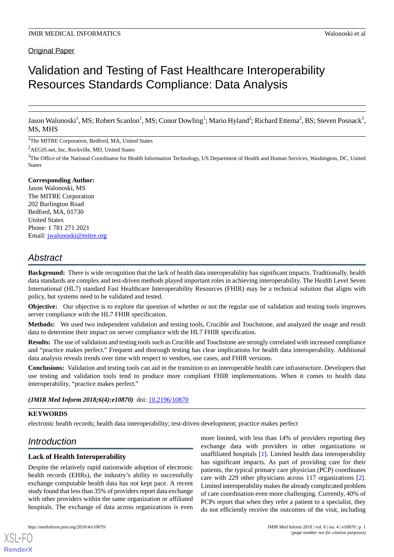# Validation and Testing of Fast Healthcare Interoperability Resources Standards Compliance: Data Analysis

Jason Walonoski<sup>1</sup>, MS; Robert Scanlon<sup>1</sup>, MS; Conor Dowling<sup>1</sup>; Mario Hyland<sup>2</sup>; Richard Ettema<sup>2</sup>, BS; Steven Posnack<sup>3</sup>, MS, MHS

<sup>1</sup>The MITRE Corporation, Bedford, MA, United States

<sup>2</sup>AEGIS.net, Inc, Rockville, MD, United States

<sup>3</sup>The Office of the National Coordinator for Health Information Technology, US Department of Health and Human Services, Washington, DC, United States

### **Corresponding Author:**

Jason Walonoski, MS The MITRE Corporation 202 Burlington Road Bedford, MA, 01730 United States Phone: 1 781 271 2021 Email: [jwalonoski@mitre.org](mailto:jwalonoski@mitre.org)

# *Abstract*

**Background:** There is wide recognition that the lack of health data interoperability has significant impacts. Traditionally, health data standards are complex and test-driven methods played important roles in achieving interoperability. The Health Level Seven International (HL7) standard Fast Healthcare Interoperability Resources (FHIR) may be a technical solution that aligns with policy, but systems need to be validated and tested.

**Objective:** Our objective is to explore the question of whether or not the regular use of validation and testing tools improves server compliance with the HL7 FHIR specification.

**Methods:** We used two independent validation and testing tools, Crucible and Touchstone, and analyzed the usage and result data to determine their impact on server compliance with the HL7 FHIR specification.

**Results:** The use of validation and testing tools such as Crucible and Touchstone are strongly correlated with increased compliance and "practice makes perfect." Frequent and thorough testing has clear implications for health data interoperability. Additional data analysis reveals trends over time with respect to vendors, use cases, and FHIR versions.

**Conclusions:** Validation and testing tools can aid in the transition to an interoperable health care infrastructure. Developers that use testing and validation tools tend to produce more compliant FHIR implementations. When it comes to health data interoperability, "practice makes perfect."

*(JMIR Med Inform 2018;6(4):e10870)* doi: [10.2196/10870](http://dx.doi.org/10.2196/10870)

### **KEYWORDS**

electronic health records; health data interoperability; test-driven development; practice makes perfect

# *Introduction*

### **Lack of Health Interoperability**

Despite the relatively rapid nationwide adoption of electronic health records (EHRs), the industry's ability to successfully exchange computable health data has not kept pace. A recent study found that less than 35% of providers report data exchange with other providers within the same organization or affiliated hospitals. The exchange of data across organizations is even

[XSL](http://www.w3.org/Style/XSL)•FO **[RenderX](http://www.renderx.com/)**

more limited, with less than 14% of providers reporting they exchange data with providers in other organizations or unaffiliated hospitals [[1\]](#page-8-0). Limited health data interoperability has significant impacts. As part of providing care for their patients, the typical primary care physician (PCP) coordinates care with 229 other physicians across 117 organizations [[2\]](#page-8-1). Limited interoperability makes the already complicated problem of care coordination even more challenging. Currently, 40% of PCPs report that when they refer a patient to a specialist, they do not efficiently receive the outcomes of the visit, including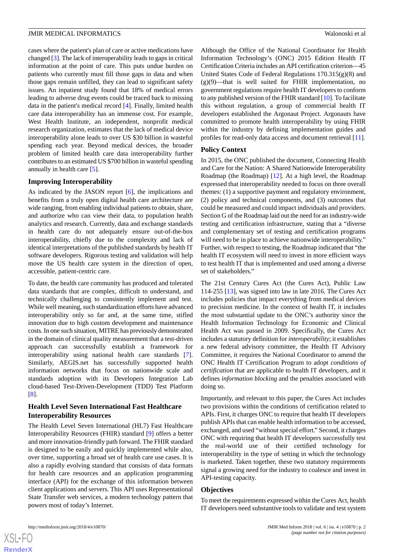cases where the patient's plan of care or active medications have changed [[3\]](#page-8-2). The lack of interoperability leads to gaps in critical information at the point of care. This puts undue burden on patients who currently must fill those gaps in data and when those gaps remain unfilled, they can lead to significant safety issues. An inpatient study found that 18% of medical errors leading to adverse drug events could be traced back to missing data in the patient's medical record [\[4](#page-8-3)]. Finally, limited health care data interoperability has an immense cost. For example, West Health Institute, an independent, nonprofit medical research organization, estimates that the lack of medical device interoperability alone leads to over US \$30 billion in wasteful spending each year. Beyond medical devices, the broader problem of limited health care data interoperability further contributes to an estimated US \$700 billion in wasteful spending annually in health care [\[5](#page-8-4)].

#### **Improving Interoperability**

As indicated by the JASON report [\[6](#page-8-5)], the implications and benefits from a truly open digital health care architecture are wide ranging, from enabling individual patients to obtain, share, and authorize who can view their data, to population health analytics and research. Currently, data and exchange standards in health care do not adequately ensure out-of-the-box interoperability, chiefly due to the complexity and lack of identical interpretations of the published standards by health IT software developers. Rigorous testing and validation will help move the US health care system in the direction of open, accessible, patient-centric care.

To date, the health care community has produced and tolerated data standards that are complex, difficult to understand, and technically challenging to consistently implement and test. While well meaning, such standardization efforts have advanced interoperability only so far and, at the same time, stifled innovation due to high custom development and maintenance costs. In one such situation, MITRE has previously demonstrated in the domain of clinical quality measurement that a test-driven approach can successfully establish a framework for interoperability using national health care standards [[7\]](#page-8-6). Similarly, AEGIS.net has successfully supported health information networks that focus on nationwide scale and standards adoption with its Developers Integration Lab cloud-based Test-Driven-Development (TDD) Test Platform [[8\]](#page-8-7).

#### **Health Level Seven International Fast Healthcare Interoperability Resources**

The Health Level Seven International (HL7) Fast Healthcare Interoperability Resources (FHIR) standard [\[9](#page-8-8)] offers a better and more innovation-friendly path forward. The FHIR standard is designed to be easily and quickly implemented while also, over time, supporting a broad set of health care use cases. It is also a rapidly evolving standard that consists of data formats for health care resources and an application programming interface (API) for the exchange of this information between client applications and servers. This API uses Representational State Transfer web services, a modern technology pattern that powers most of today's Internet.

Although the Office of the National Coordinator for Health Information Technology's (ONC) 2015 Edition Health IT Certification Criteria includes an API certification criterion—45 United States Code of Federal Regulations 170.315(g)(8) and (g)(9)—that is well suited for FHIR implementation, no government regulations require health IT developers to conform to any published version of the FHIR standard [\[10](#page-8-9)]. To facilitate this without regulation, a group of commercial health IT developers established the Argonaut Project. Argonauts have committed to promote health interoperability by using FHIR within the industry by defining implementation guides and profiles for read-only data access and document retrieval [\[11](#page-8-10)].

#### **Policy Context**

In 2015, the ONC published the document, Connecting Health and Care for the Nation: A Shared Nationwide Interoperability Roadmap (the Roadmap) [\[12](#page-8-11)]. At a high level, the Roadmap expressed that interoperability needed to focus on three overall themes: (1) a supportive payment and regulatory environment, (2) policy and technical components, and (3) outcomes that could be measured and could impact individuals and providers. Section G of the Roadmap laid out the need for an industry-wide testing and certification infrastructure, stating that a "diverse and complementary set of testing and certification programs will need to be in place to achieve nationwide interoperability." Further, with respect to testing, the Roadmap indicated that "the health IT ecosystem will need to invest in more efficient ways to test health IT that is implemented and used among a diverse set of stakeholders."

The 21st Century Cures Act (the Cures Act), Public Law 114-255 [[13\]](#page-9-0), was signed into law in late 2016. The Cures Act includes policies that impact everything from medical devices to precision medicine. In the context of health IT, it includes the most substantial update to the ONC's authority since the Health Information Technology for Economic and Clinical Health Act was passed in 2009. Specifically, the Cures Act includes a statutory definition for *interoperability*; it establishes a new federal advisory committee, the Health IT Advisory Committee, it requires the National Coordinator to amend the ONC Health IT Certification Program to adopt *conditions of certification* that are applicable to health IT developers, and it defines *information blocking* and the penalties associated with doing so.

Importantly, and relevant to this paper, the Cures Act includes two provisions within the conditions of certification related to APIs. First, it charges ONC to require that health IT developers publish APIs that can enable health information to be accessed, exchanged, and used "without special effort." Second, it charges ONC with requiring that health IT developers successfully test the real-world use of their certified technology for interoperability in the type of setting in which the technology is marketed. Taken together, these two statutory requirements signal a growing need for the industry to coalesce and invest in API-testing capacity.

#### **Objectives**

To meet the requirements expressed within the Cures Act, health IT developers need substantive tools to validate and test system

 $XS$ -FO **[RenderX](http://www.renderx.com/)**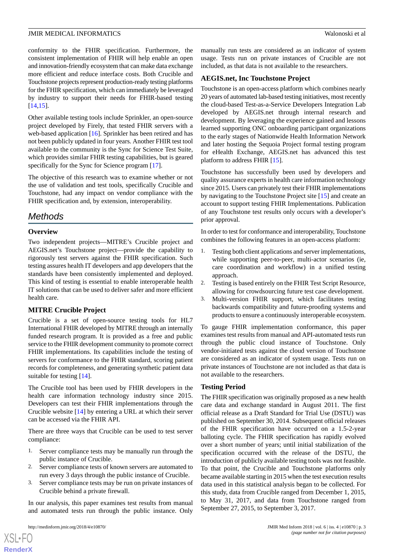conformity to the FHIR specification. Furthermore, the consistent implementation of FHIR will help enable an open and innovation-friendly ecosystem that can make data exchange more efficient and reduce interface costs. Both Crucible and Touchstone projects represent production-ready testing platforms for the FHIR specification, which can immediately be leveraged by industry to support their needs for FHIR-based testing [[14](#page-9-1)[,15](#page-9-2)].

Other available testing tools include Sprinkler, an open-source project developed by Firely, that tested FHIR servers with a web-based application [[16\]](#page-9-3). Sprinkler has been retired and has not been publicly updated in four years. Another FHIR test tool available to the community is the Sync for Science Test Suite, which provides similar FHIR testing capabilities, but is geared specifically for the Sync for Science program [[17\]](#page-9-4).

The objective of this research was to examine whether or not the use of validation and test tools, specifically Crucible and Touchstone, had any impact on vendor compliance with the FHIR specification and, by extension, interoperability.

# *Methods*

#### **Overview**

Two independent projects—MITRE's Crucible project and AEGIS.net's Touchstone project—provide the capability to rigorously test servers against the FHIR specification. Such testing assures health IT developers and app developers that the standards have been consistently implemented and deployed. This kind of testing is essential to enable interoperable health IT solutions that can be used to deliver safer and more efficient health care.

### **MITRE Crucible Project**

Crucible is a set of open-source testing tools for HL7 International FHIR developed by MITRE through an internally funded research program. It is provided as a free and public service to the FHIR development community to promote correct FHIR implementations. Its capabilities include the testing of servers for conformance to the FHIR standard, scoring patient records for completeness, and generating synthetic patient data suitable for testing [[14\]](#page-9-1).

The Crucible tool has been used by FHIR developers in the health care information technology industry since 2015. Developers can test their FHIR implementations through the Crucible website [\[14](#page-9-1)] by entering a URL at which their server can be accessed via the FHIR API.

There are three ways that Crucible can be used to test server compliance:

- 1. Server compliance tests may be manually run through the public instance of Crucible.
- 2. Server compliance tests of known servers are automated to run every 3 days through the public instance of Crucible.
- 3. Server compliance tests may be run on private instances of Crucible behind a private firewall.

In our analysis, this paper examines test results from manual and automated tests run through the public instance. Only

 $XS$ -FO **[RenderX](http://www.renderx.com/)** manually run tests are considered as an indicator of system usage. Tests run on private instances of Crucible are not included, as that data is not available to the researchers.

#### **AEGIS.net, Inc Touchstone Project**

Touchstone is an open-access platform which combines nearly 20 years of automated lab-based testing initiatives, most recently the cloud-based Test-as-a-Service Developers Integration Lab developed by AEGIS.net through internal research and development. By leveraging the experience gained and lessons learned supporting ONC onboarding participant organizations to the early stages of Nationwide Health Information Network and later hosting the Sequoia Project formal testing program for eHealth Exchange, AEGIS.net has advanced this test platform to address FHIR [[15\]](#page-9-2).

Touchstone has successfully been used by developers and quality assurance experts in health care information technology since 2015. Users can privately test their FHIR implementations by navigating to the Touchstone Project site [\[15](#page-9-2)] and create an account to support testing FHIR Implementations. Publication of any Touchstone test results only occurs with a developer's prior approval.

In order to test for conformance and interoperability, Touchstone combines the following features in an open-access platform:

- 1. Testing both client applications and server implementations, while supporting peer-to-peer, multi-actor scenarios (ie, care coordination and workflow) in a unified testing approach.
- 2. Testing is based entirely on the FHIR Test Script Resource, allowing for crowdsourcing future test case development.
- 3. Multi-version FHIR support, which facilitates testing backwards compatibility and future-proofing systems and products to ensure a continuously interoperable ecosystem.

To gauge FHIR implementation conformance, this paper examines test results from manual and API-automated tests run through the public cloud instance of Touchstone. Only vendor-initiated tests against the cloud version of Touchstone are considered as an indicator of system usage. Tests run on private instances of Touchstone are not included as that data is not available to the researchers.

#### **Testing Period**

The FHIR specification was originally proposed as a new health care data and exchange standard in August 2011. The first official release as a Draft Standard for Trial Use (DSTU) was published on September 30, 2014. Subsequent official releases of the FHIR specification have occurred on a 1.5-2-year balloting cycle. The FHIR specification has rapidly evolved over a short number of years; until initial stabilization of the specification occurred with the release of the DSTU, the introduction of publicly available testing tools was not feasible. To that point, the Crucible and Touchstone platforms only became available starting in 2015 when the test execution results data used in this statistical analysis began to be collected. For this study, data from Crucible ranged from December 1, 2015, to May 31, 2017, and data from Touchstone ranged from September 27, 2015, to September 3, 2017.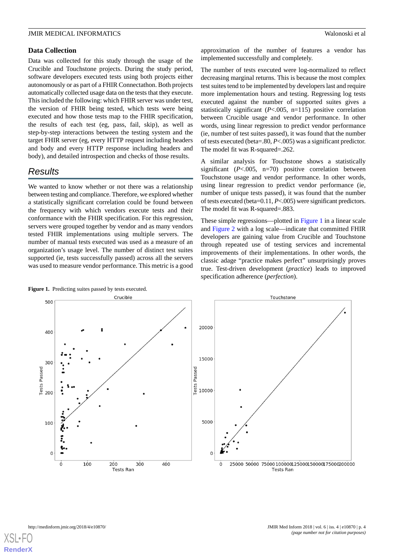#### **Data Collection**

Data was collected for this study through the usage of the Crucible and Touchstone projects. During the study period, software developers executed tests using both projects either autonomously or as part of a FHIR Connectathon. Both projects automatically collected usage data on the tests that they execute. This included the following: which FHIR server was under test, the version of FHIR being tested, which tests were being executed and how those tests map to the FHIR specification, the results of each test (eg, pass, fail, skip), as well as step-by-step interactions between the testing system and the target FHIR server (eg, every HTTP request including headers and body and every HTTP response including headers and body), and detailed introspection and checks of those results.

# *Results*

We wanted to know whether or not there was a relationship between testing and compliance. Therefore, we explored whether a statistically significant correlation could be found between the frequency with which vendors execute tests and their conformance with the FHIR specification. For this regression, servers were grouped together by vendor and as many vendors tested FHIR implementations using multiple servers. The number of manual tests executed was used as a measure of an organization's usage level. The number of distinct test suites supported (ie, tests successfully passed) across all the servers was used to measure vendor performance. This metric is a good

approximation of the number of features a vendor has implemented successfully and completely.

The number of tests executed were log-normalized to reflect decreasing marginal returns. This is because the most complex test suites tend to be implemented by developers last and require more implementation hours and testing. Regressing log tests executed against the number of supported suites gives a statistically significant (*P*<.005, n=115) positive correlation between Crucible usage and vendor performance. In other words, using linear regression to predict vendor performance (ie, number of test suites passed), it was found that the number of tests executed (beta=.80, *P*<.005) was a significant predictor. The model fit was R-squared=.262.

A similar analysis for Touchstone shows a statistically significant (*P*<.005, n=70) positive correlation between Touchstone usage and vendor performance. In other words, using linear regression to predict vendor performance (ie, number of unique tests passed), it was found that the number of tests executed (beta=0.11, *P*<.005) were significant predictors. The model fit was R-squared=.883.

These simple regressions—plotted in [Figure 1](#page-3-0) in a linear scale and [Figure 2](#page-4-0) with a log scale—indicate that committed FHIR developers are gaining value from Crucible and Touchstone through repeated use of testing services and incremental improvements of their implementations. In other words, the classic adage "practice makes perfect" unsurprisingly proves true. Test-driven development (*practice*) leads to improved specification adherence (*perfection*).



<span id="page-3-0"></span>Figure 1. Predicting suites passed by tests executed.

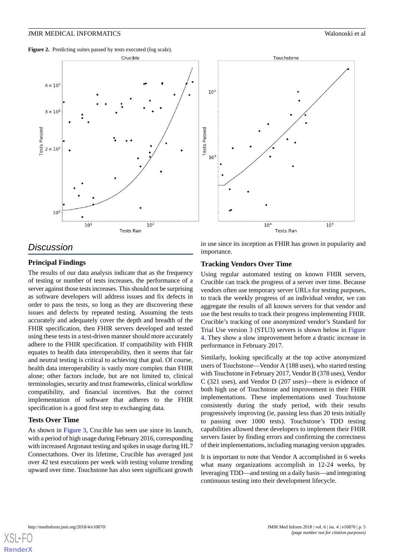<span id="page-4-0"></span>Figure 2. Predicting suites passed by tests executed (log scale).





## *Discussion*

#### **Principal Findings**

The results of our data analysis indicate that as the frequency of testing or number of tests increases, the performance of a server against those tests increases. This should not be surprising as software developers will address issues and fix defects in order to pass the tests, so long as they are discovering these issues and defects by repeated testing. Assuming the tests accurately and adequately cover the depth and breadth of the FHIR specification, then FHIR servers developed and tested using these tests in a test-driven manner should more accurately adhere to the FHIR specification. If compatibility with FHIR equates to health data interoperability, then it seems that fair and neutral testing is critical to achieving that goal. Of course, health data interoperability is vastly more complex than FHIR alone; other factors include, but are not limited to, clinical terminologies, security and trust frameworks, clinical workflow compatibility, and financial incentives. But the correct implementation of software that adheres to the FHIR specification is a good first step to exchanging data.

#### **Tests Over Time**

As shown in [Figure 3](#page-5-0), Crucible has seen use since its launch, with a period of high usage during February 2016, corresponding with increased Argonaut testing and spikes in usage during HL7 Connectathons. Over its lifetime, Crucible has averaged just over 42 test executions per week with testing volume trending upward over time. Touchstone has also seen significant growth in use since its inception as FHIR has grown in popularity and importance.

#### **Tracking Vendors Over Time**

Using regular automated testing on known FHIR servers, Crucible can track the progress of a server over time. Because vendors often use temporary server URLs for testing purposes, to track the weekly progress of an individual vendor, we can aggregate the results of all known servers for that vendor and use the best results to track their progress implementing FHIR. Crucible's tracking of one anonymized vendor's Standard for Trial Use version 3 (STU3) servers is shown below in [Figure](#page-5-1) [4.](#page-5-1) They show a slow improvement before a drastic increase in performance in February 2017.

Similarly, looking specifically at the top active anonymized users of Touchstone—Vendor A (188 uses), who started testing with Touchstone in February 2017, Vendor B (378 uses), Vendor C (321 uses), and Vendor D (207 uses)—there is evidence of both high use of Touchstone and improvement in their FHIR implementations. These implementations used Touchstone consistently during the study period, with their results progressively improving (ie, passing less than 20 tests initially to passing over 1000 tests). Touchstone's TDD testing capabilities allowed these developers to implement their FHIR servers faster by finding errors and confirming the correctness of their implementations, including managing version upgrades.

It is important to note that Vendor A accomplished in 6 weeks what many organizations accomplish in 12-24 weeks, by leveraging TDD—and testing on a daily basis—and integrating continuous testing into their development lifecycle.

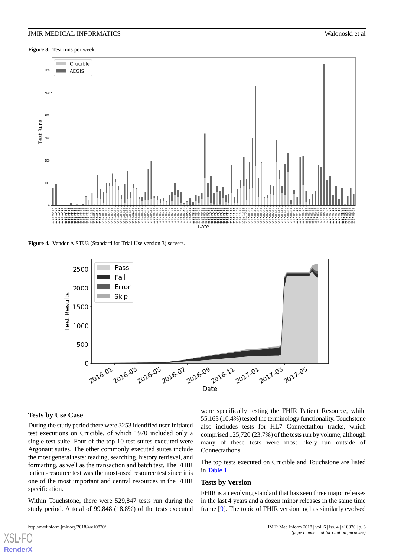<span id="page-5-0"></span>**Figure 3.** Test runs per week.



<span id="page-5-1"></span>**Figure 4.** Vendor A STU3 (Standard for Trial Use version 3) servers.



#### **Tests by Use Case**

During the study period there were 3253 identified user-initiated test executions on Crucible, of which 1970 included only a single test suite. Four of the top 10 test suites executed were Argonaut suites. The other commonly executed suites include the most general tests: reading, searching, history retrieval, and formatting, as well as the transaction and batch test. The FHIR patient-resource test was the most-used resource test since it is one of the most important and central resources in the FHIR specification.

Within Touchstone, there were 529,847 tests run during the study period. A total of 99,848 (18.8%) of the tests executed

```
were specifically testing the FHIR Patient Resource, while
55,163 (10.4%) tested the terminology functionality. Touchstone
also includes tests for HL7 Connectathon tracks, which
comprised 125,720 (23.7%) of the tests run by volume, although
many of these tests were most likely run outside of
Connectathons.
```
The top tests executed on Crucible and Touchstone are listed in [Table 1](#page-6-0).

#### **Tests by Version**

FHIR is an evolving standard that has seen three major releases in the last 4 years and a dozen minor releases in the same time frame [[9\]](#page-8-8). The topic of FHIR versioning has similarly evolved

[XSL](http://www.w3.org/Style/XSL)•FO **[RenderX](http://www.renderx.com/)**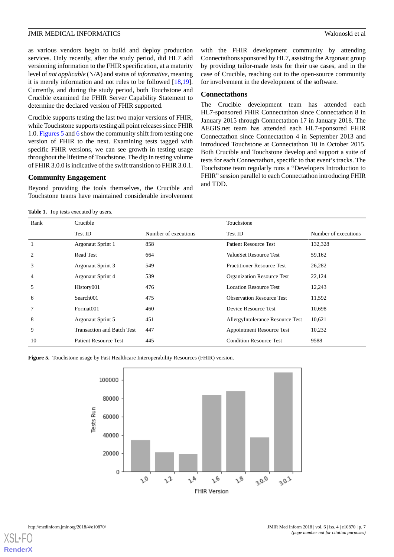as various vendors begin to build and deploy production services. Only recently, after the study period, did HL7 add versioning information to the FHIR specification, at a maturity level of *not applicable* (N/A) and status of *informative*, meaning it is merely information and not rules to be followed [\[18](#page-9-5),[19\]](#page-9-6). Currently, and during the study period, both Touchstone and Crucible examined the FHIR Server Capability Statement to determine the declared version of FHIR supported.

Crucible supports testing the last two major versions of FHIR, while Touchstone supports testing all point releases since FHIR 1.0. [Figures 5](#page-6-1) and [6](#page-7-0) show the community shift from testing one version of FHIR to the next. Examining tests tagged with specific FHIR versions, we can see growth in testing usage throughout the lifetime of Touchstone. The dip in testing volume of FHIR 3.0.0 is indicative of the swift transition to FHIR 3.0.1.

#### **Community Engagement**

<span id="page-6-0"></span>Beyond providing the tools themselves, the Crucible and Touchstone teams have maintained considerable involvement

Table 1. Top tests executed by users.

with the FHIR development community by attending Connectathons sponsored by HL7, assisting the Argonaut group by providing tailor-made tests for their use cases, and in the case of Crucible, reaching out to the open-source community for involvement in the development of the software.

#### **Connectathons**

The Crucible development team has attended each HL7-sponsored FHIR Connectathon since Connectathon 8 in January 2015 through Connectathon 17 in January 2018. The AEGIS.net team has attended each HL7-sponsored FHIR Connectathon since Connectathon 4 in September 2013 and introduced Touchstone at Connectathon 10 in October 2015. Both Crucible and Touchstone develop and support a suite of tests for each Connectathon, specific to that event's tracks. The Touchstone team regularly runs a "Developers Introduction to FHIR" session parallel to each Connectathon introducing FHIR and TDD.

| Rank | Crucible                          |                      | Touchstone                        |                      |  |  |
|------|-----------------------------------|----------------------|-----------------------------------|----------------------|--|--|
|      | Test ID                           | Number of executions | Test ID                           | Number of executions |  |  |
|      | Argonaut Sprint 1                 | 858                  | <b>Patient Resource Test</b>      | 132,328              |  |  |
| 2    | <b>Read Test</b>                  | 664                  | ValueSet Resource Test            | 59,162               |  |  |
| 3    | Argonaut Sprint 3                 | 549                  | <b>Practitioner Resource Test</b> | 26,282               |  |  |
| 4    | <b>Argonaut Sprint 4</b>          | 539                  | <b>Organization Resource Test</b> | 22,124               |  |  |
| 5    | History001                        | 476                  | Location Resource Test            | 12,243               |  |  |
| 6    | Search001                         | 475                  | <b>Observation Resource Test</b>  | 11,592               |  |  |
|      | Format001                         | 460                  | Device Resource Test              | 10,698               |  |  |
| 8    | Argonaut Sprint 5                 | 451                  | AllergyIntolerance Resource Test  | 10,621               |  |  |
| 9    | <b>Transaction and Batch Test</b> | 447                  | <b>Appointment Resource Test</b>  | 10,232               |  |  |
| 10   | <b>Patient Resource Test</b>      | 445                  | <b>Condition Resource Test</b>    | 9588                 |  |  |

<span id="page-6-1"></span>**Figure 5.** Touchstone usage by Fast Healthcare Interoperability Resources (FHIR) version.



[XSL](http://www.w3.org/Style/XSL)•FO **[RenderX](http://www.renderx.com/)**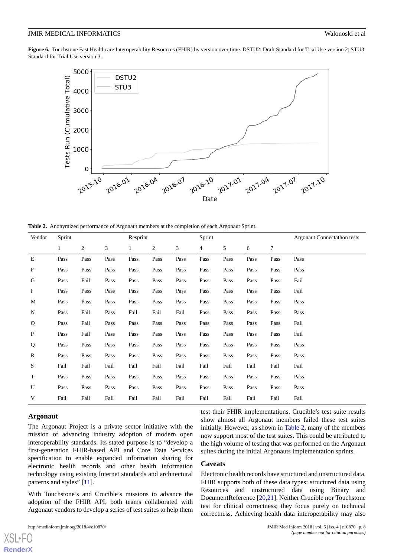<span id="page-7-0"></span>Figure 6. Touchstone Fast Healthcare Interoperability Resources (FHIR) by version over time. DSTU2: Draft Standard for Trial Use version 2; STU3: Standard for Trial Use version 3.



<span id="page-7-1"></span>**Table 2.** Anonymized performance of Argonaut members at the completion of each Argonaut Sprint.

| Vendor       | Sprint       |                |      | Resprint     |      |      | Sprint |      |      |      | <b>Argonaut Connectathon tests</b> |
|--------------|--------------|----------------|------|--------------|------|------|--------|------|------|------|------------------------------------|
|              | $\mathbf{1}$ | $\overline{c}$ | 3    | $\mathbf{1}$ | 2    | 3    | 4      | 5    | 6    | 7    |                                    |
| Ε            | Pass         | Pass           | Pass | Pass         | Pass | Pass | Pass   | Pass | Pass | Pass | Pass                               |
| $\mathbf F$  | Pass         | Pass           | Pass | Pass         | Pass | Pass | Pass   | Pass | Pass | Pass | Pass                               |
| G            | Pass         | Fail           | Pass | Pass         | Pass | Pass | Pass   | Pass | Pass | Pass | Fail                               |
| Ι            | Pass         | Pass           | Pass | Pass         | Pass | Pass | Pass   | Pass | Pass | Pass | Fail                               |
| M            | Pass         | Pass           | Pass | Pass         | Pass | Pass | Pass   | Pass | Pass | Pass | Pass                               |
| N            | Pass         | Fail           | Pass | Fail         | Fail | Fail | Pass   | Pass | Pass | Pass | Pass                               |
| $\mathbf{O}$ | Pass         | Fail           | Pass | Pass         | Pass | Pass | Pass   | Pass | Pass | Pass | Fail                               |
| $\mathbf{P}$ | Pass         | Fail           | Pass | Pass         | Pass | Pass | Pass   | Pass | Pass | Pass | Fail                               |
| Q            | Pass         | Pass           | Pass | Pass         | Pass | Pass | Pass   | Pass | Pass | Pass | Pass                               |
| $\mathbb{R}$ | Pass         | Pass           | Pass | Pass         | Pass | Pass | Pass   | Pass | Pass | Pass | Pass                               |
| S            | Fail         | Fail           | Fail | Fail         | Fail | Fail | Fail   | Fail | Fail | Fail | Fail                               |
| T            | Pass         | Pass           | Pass | Pass         | Pass | Pass | Pass   | Pass | Pass | Pass | Pass                               |
| U            | Pass         | Pass           | Pass | Pass         | Pass | Pass | Pass   | Pass | Pass | Pass | Pass                               |
| V            | Fail         | Fail           | Fail | Fail         | Fail | Fail | Fail   | Fail | Fail | Fail | Fail                               |

#### **Argonaut**

[XSL](http://www.w3.org/Style/XSL)•FO **[RenderX](http://www.renderx.com/)**

The Argonaut Project is a private sector initiative with the mission of advancing industry adoption of modern open interoperability standards. Its stated purpose is to "develop a first-generation FHIR-based API and Core Data Services specification to enable expanded information sharing for electronic health records and other health information technology using existing Internet standards and architectural patterns and styles" [[11\]](#page-8-10).

With Touchstone's and Crucible's missions to advance the adoption of the FHIR API, both teams collaborated with Argonaut vendors to develop a series of test suites to help them

test their FHIR implementations. Crucible's test suite results show almost all Argonaut members failed these test suites initially. However, as shown in [Table 2](#page-7-1), many of the members now support most of the test suites. This could be attributed to the high volume of testing that was performed on the Argonaut suites during the initial Argonauts implementation sprints.

#### **Caveats**

Electronic health records have structured and unstructured data. FHIR supports both of these data types: structured data using Resources and unstructured data using Binary and DocumentReference [[20,](#page-9-7)[21\]](#page-9-8). Neither Crucible nor Touchstone test for clinical correctness; they focus purely on technical correctness. Achieving health data interoperability may also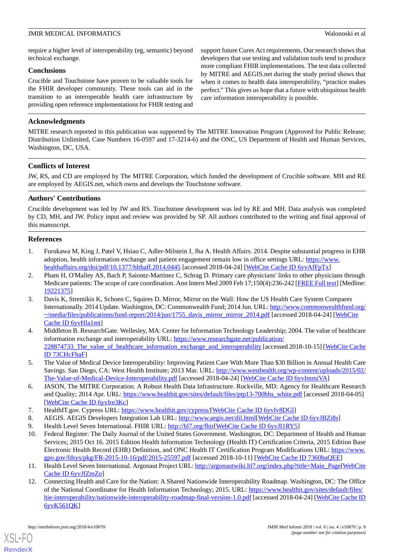require a higher level of interoperability (eg, semantic) beyond technical exchange.

#### **Conclusions**

Crucible and Touchstone have proven to be valuable tools for the FHIR developer community. These tools can aid in the transition to an interoperable health care infrastructure by providing open reference implementations for FHIR testing and

#### **Acknowledgments**

support future Cures Act requirements. Our research shows that developers that use testing and validation tools tend to produce more compliant FHIR implementations. The test data collected by MITRE and AEGIS.net during the study period shows that when it comes to health data interoperability, "practice makes perfect." This gives us hope that a future with ubiquitous health care information interoperability is possible.

MITRE research reported in this publication was supported by The MITRE Innovation Program (Approved for Public Release; Distribution Unlimited, Case Numbers 16-0597 and 17-3214-6) and the ONC, US Department of Health and Human Services, Washington, DC, USA.

#### **Conflicts of Interest**

JW, RS, and CD are employed by The MITRE Corporation, which funded the development of Crucible software. MH and RE are employed by AEGIS.net, which owns and develops the Touchstone software.

#### **Authors' Contributions**

Crucible development was led by JW and RS. Touchstone development was led by RE and MH. Data analysis was completed by CD, MH, and JW. Policy input and review was provided by SP. All authors contributed to the writing and final approval of this manuscript.

#### <span id="page-8-0"></span>**References**

- <span id="page-8-1"></span>1. Furukawa M, King J, Patel V, Hsiao C, Adler-Milstein J, Jha A. Health Affairs. 2014. Despite substantial progress in EHR adoption, health information exchange and patient engagement remain low in office settings URL: [https://www.](https://www.healthaffairs.org/doi/pdf/10.1377/hlthaff.2014.0445) [healthaffairs.org/doi/pdf/10.1377/hlthaff.2014.0445](https://www.healthaffairs.org/doi/pdf/10.1377/hlthaff.2014.0445) [accessed 2018-04-24] [\[WebCite Cache ID 6yvAfFpTx](http://www.webcitation.org/

                                            6yvAfFpTx)]
- <span id="page-8-2"></span>2. Pham H, O'Malley AS, Bach P, Saiontz-Martinez C, Schrag D. Primary care physicians' links to other physicians through Medicare patients: The scope of care coordination. Ann Intern Med 2009 Feb 17;150(4):236-242 [[FREE Full text](http://europepmc.org/abstract/MED/19221375)] [Medline: [19221375](http://www.ncbi.nlm.nih.gov/entrez/query.fcgi?cmd=Retrieve&db=PubMed&list_uids=19221375&dopt=Abstract)]
- <span id="page-8-3"></span>3. Davis K, Stremikis K, Schoen C, Squires D. Mirror, Mirror on the Wall: How the US Health Care System Compares Internationally. 2014 Update. Washington, DC: Commonwealth Fund; 2014 Jun. URL: [http://www.commonwealthfund.org/](http://www.commonwealthfund.org/~/media/files/publications/fund-report/2014/jun/1755_davis_mirror_mirror_2014.pdf) [~/media/files/publications/fund-report/2014/jun/1755\\_davis\\_mirror\\_mirror\\_2014.pdf](http://www.commonwealthfund.org/~/media/files/publications/fund-report/2014/jun/1755_davis_mirror_mirror_2014.pdf) [accessed 2018-04-24] [\[WebCite](http://www.webcitation.org/

                                            6yvHla1mt) [Cache ID 6yvHla1mt](http://www.webcitation.org/

                                            6yvHla1mt)]
- <span id="page-8-4"></span>4. Middleton B. ResearchGate. Wellesley, MA: Center for Information Technology Leadership; 2004. The value of healthcare information exchange and interoperability URL: [https://www.researchgate.net/publication/](https://www.researchgate.net/publication/228874733_The_value_of_healthcare_information_exchange_and_interoperability) 228874733 The value of healthcare information exchange and interoperability [accessed 2018-10-15] [[WebCite Cache](http://www.webcitation.org/

                                            73CHcFhaF) [ID 73CHcFhaF](http://www.webcitation.org/

                                            73CHcFhaF)]
- <span id="page-8-6"></span><span id="page-8-5"></span>5. The Value of Medical Device Interoperability: Improving Patient Care With More Than \$30 Billion in Annual Health Care Savings. San Diego, CA: West Health Institute; 2013 Mar. URL: [http://www.westhealth.org/wp-content/uploads/2015/02/](http://www.westhealth.org/wp-content/uploads/2015/02/The-Value-of-Medical-Device-Interoperability.pdf) [The-Value-of-Medical-Device-Interoperability.pdf](http://www.westhealth.org/wp-content/uploads/2015/02/The-Value-of-Medical-Device-Interoperability.pdf) [accessed 2018-04-24] [\[WebCite Cache ID 6yvImmiVA\]](http://www.webcitation.org/

                                            6yvImmiVA)
- <span id="page-8-9"></span><span id="page-8-8"></span><span id="page-8-7"></span>6. JASON, The MITRE Corporation. A Robust Health Data Infrastructure. Rockville, MD: Agency for Healthcare Research and Quality; 2014 Apr. URL: [https://www.healthit.gov/sites/default/files/ptp13-700hhs\\_white.pdf](https://www.healthit.gov/sites/default/files/ptp13-700hhs_white.pdf) [accessed 2018-04-05] [[WebCite Cache ID 6yvIre3Kc](http://www.webcitation.org/

                                            6yvIre3Kc)]
- 7. HealthIT.gov. Cypress URL: [https://www.healthit.gov/cypress/\[](https://www.healthit.gov/cypress/)[WebCite Cache ID 6yvIv8DGl](http://www.webcitation.org/

                             6yvIv8DGl)]
- <span id="page-8-10"></span>8. AEGIS. AEGIS Developers Integration Lab URL: [http://www.aegis.net/dil.html\[](http://www.aegis.net/dil.html)[WebCite Cache ID 6yvJBZi8s](http://www.webcitation.org/

                                            6yvJBZi8s)]
- 9. Health Level Seven International. FHIR URL: <http://hl7.org/fhir>[[WebCite Cache ID 6yvJI1RY5\]](http://www.webcitation.org/

                             6yvJI1RY5)
- <span id="page-8-11"></span>10. Federal Register: The Daily Journal of the United States Government. Washington, DC: Department of Health and Human Services; 2015 Oct 16. 2015 Edition Health Information Technology (Health IT) Certification Criteria, 2015 Edition Base Electronic Health Record (EHR) Definition, and ONC Health IT Certification Program Modifications URL: [https://www.](https://www.gpo.gov/fdsys/pkg/FR-2015-10-16/pdf/2015-25597.pdf) [gpo.gov/fdsys/pkg/FR-2015-10-16/pdf/2015-25597.pdf](https://www.gpo.gov/fdsys/pkg/FR-2015-10-16/pdf/2015-25597.pdf) [accessed 2018-10-11] [[WebCite Cache ID 7360baQEE](http://www.webcitation.org/

                                            7360baQEE)]
- 11. Health Level Seven International. Argonaut Project URL: [http://argonautwiki.hl7.org/index.php?title=Main\\_Page\[](http://argonautwiki.hl7.org/index.php?title=Main_Page)[WebCite](http://www.webcitation.org/

                             6yvJfZmZo) [Cache ID 6yvJfZmZo](http://www.webcitation.org/

                                            6yvJfZmZo)]
- 12. Connecting Health and Care for the Nation: A Shared Nationwide Interoperability Roadmap. Washington, DC: The Office of the National Coordinator for Health Information Technology; 2015. URL: [https://www.healthit.gov/sites/default/files/](https://www.healthit.gov/sites/default/files/hie-interoperability/nationwide-interoperability-roadmap-final-version-1.0.pdf) [hie-interoperability/nationwide-interoperability-roadmap-final-version-1.0.pdf](https://www.healthit.gov/sites/default/files/hie-interoperability/nationwide-interoperability-roadmap-final-version-1.0.pdf) [accessed 2018-04-24] [\[WebCite Cache ID](http://www.webcitation.org/

                                            6yvK561QK) [6yvK561QK](http://www.webcitation.org/

                                            6yvK561QK)]

[XSL](http://www.w3.org/Style/XSL)•FO **[RenderX](http://www.renderx.com/)**